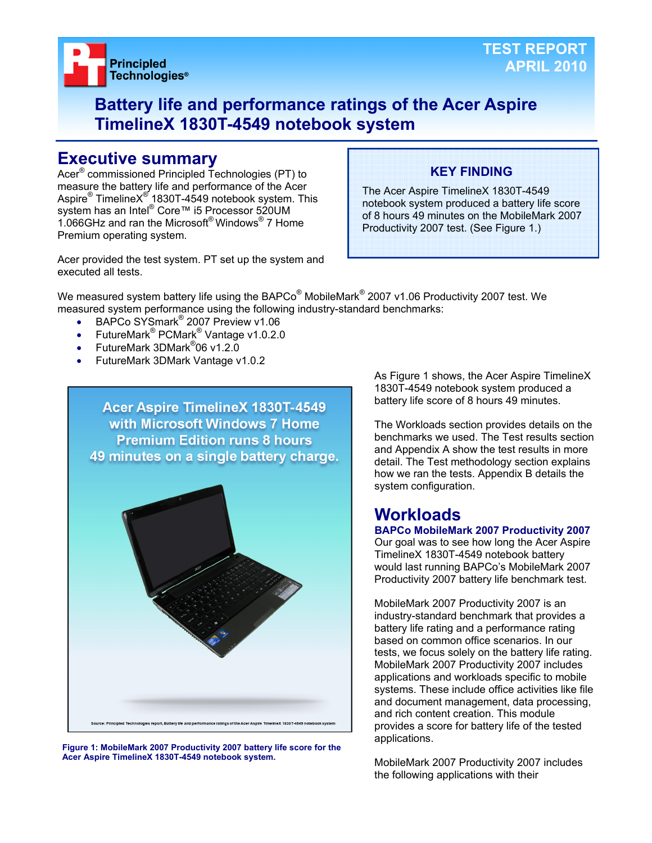

## **Battery life and performance ratings of the Acer Aspire TimelineX 1830T-4549 notebook system**

## **Executive summary**

Acer® commissioned Principled Technologies (PT) to measure the battery life and performance of the Acer Aspire® TimelineX<sup>®</sup> 1830T-4549 notebook system. This system has an Intel® Core™ i5 Processor 520UM 1.066GHz and ran the Microsoft® Windows® 7 Home Premium operating system.

## **KEY FINDING**

The Acer Aspire TimelineX 1830T-4549 notebook system produced a battery life score of 8 hours 49 minutes on the MobileMark 2007 Productivity 2007 test. (See Figure 1.)

Acer provided the test system. PT set up the system and executed all tests.

We measured system battery life using the BAPCo $^\circ$  MobileMark $^\circ$  2007 v1.06 Productivity 2007 test. We measured system performance using the following industry-standard benchmarks:

- BAPCo SYSmark<sup>®</sup> 2007 Preview v1.06
- FutureMark<sup>®</sup> PCMark<sup>®</sup> Vantage v1.0.2.0
- FutureMark 3DMark<sup>®</sup>06 v1.2.0
- FutureMark 3DMark Vantage v1.0.2



**Figure 1: MobileMark 2007 Productivity 2007 battery life score for the Acer Aspire TimelineX 1830T-4549 notebook system.** 

As Figure 1 shows, the Acer Aspire TimelineX 1830T-4549 notebook system produced a battery life score of 8 hours 49 minutes.

The Workloads section provides details on the benchmarks we used. The Test results section and Appendix A show the test results in more detail. The Test methodology section explains how we ran the tests. Appendix B details the system configuration.

## **Workloads**

#### **BAPCo MobileMark 2007 Productivity 2007**

Our goal was to see how long the Acer Aspire TimelineX 1830T-4549 notebook battery would last running BAPCo's MobileMark 2007 Productivity 2007 battery life benchmark test.

MobileMark 2007 Productivity 2007 is an industry-standard benchmark that provides a battery life rating and a performance rating based on common office scenarios. In our tests, we focus solely on the battery life rating. MobileMark 2007 Productivity 2007 includes applications and workloads specific to mobile systems. These include office activities like file and document management, data processing, and rich content creation. This module provides a score for battery life of the tested applications.

MobileMark 2007 Productivity 2007 includes the following applications with their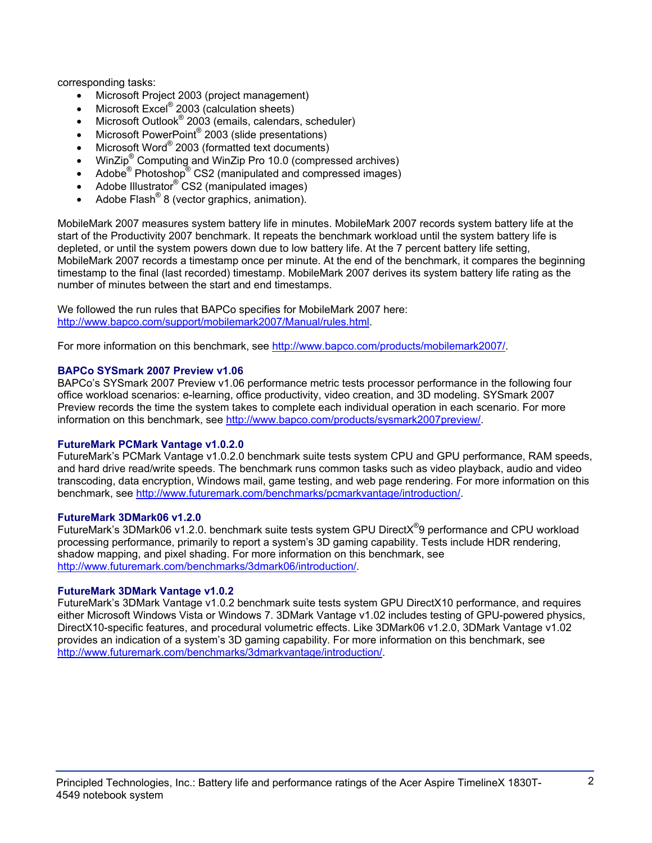corresponding tasks:

- Microsoft Project 2003 (project management)
- $\bullet$  Microsoft Excel® 2003 (calculation sheets)
- Microsoft Outlook<sup>®</sup> 2003 (emails, calendars, scheduler)
- Microsoft PowerPoint<sup>®</sup> 2003 (slide presentations)
- Microsoft Word® 2003 (formatted text documents)
- WinZip<sup>®</sup> Computing and WinZip Pro 10.0 (compressed archives)
- Adobe<sup>®</sup> Photoshop<sup>®</sup> CS2 (manipulated and compressed images)
- Adobe Illustrator<sup>®</sup> CS2 (manipulated images)
- Adobe Flash<sup>®</sup> 8 (vector graphics, animation).

MobileMark 2007 measures system battery life in minutes. MobileMark 2007 records system battery life at the start of the Productivity 2007 benchmark. It repeats the benchmark workload until the system battery life is depleted, or until the system powers down due to low battery life. At the 7 percent battery life setting, MobileMark 2007 records a timestamp once per minute. At the end of the benchmark, it compares the beginning timestamp to the final (last recorded) timestamp. MobileMark 2007 derives its system battery life rating as the number of minutes between the start and end timestamps.

We followed the run rules that BAPCo specifies for MobileMark 2007 here: http://www.bapco.com/support/mobilemark2007/Manual/rules.html.

For more information on this benchmark, see http://www.bapco.com/products/mobilemark2007/.

## **BAPCo SYSmark 2007 Preview v1.06**

BAPCo's SYSmark 2007 Preview v1.06 performance metric tests processor performance in the following four office workload scenarios: e-learning, office productivity, video creation, and 3D modeling. SYSmark 2007 Preview records the time the system takes to complete each individual operation in each scenario. For more information on this benchmark, see http://www.bapco.com/products/sysmark2007preview/.

## **FutureMark PCMark Vantage v1.0.2.0**

FutureMark's PCMark Vantage v1.0.2.0 benchmark suite tests system CPU and GPU performance, RAM speeds, and hard drive read/write speeds. The benchmark runs common tasks such as video playback, audio and video transcoding, data encryption, Windows mail, game testing, and web page rendering. For more information on this benchmark, see http://www.futuremark.com/benchmarks/pcmarkvantage/introduction/.

#### **FutureMark 3DMark06 v1.2.0**

FutureMark's 3DMark06 v1.2.0. benchmark suite tests system GPU DirectX<sup>®</sup>9 performance and CPU workload processing performance, primarily to report a system's 3D gaming capability. Tests include HDR rendering, shadow mapping, and pixel shading. For more information on this benchmark, see http://www.futuremark.com/benchmarks/3dmark06/introduction/.

## **FutureMark 3DMark Vantage v1.0.2**

FutureMark's 3DMark Vantage v1.0.2 benchmark suite tests system GPU DirectX10 performance, and requires either Microsoft Windows Vista or Windows 7. 3DMark Vantage v1.02 includes testing of GPU-powered physics, DirectX10-specific features, and procedural volumetric effects. Like 3DMark06 v1.2.0, 3DMark Vantage v1.02 provides an indication of a system's 3D gaming capability. For more information on this benchmark, see http://www.futuremark.com/benchmarks/3dmarkvantage/introduction/.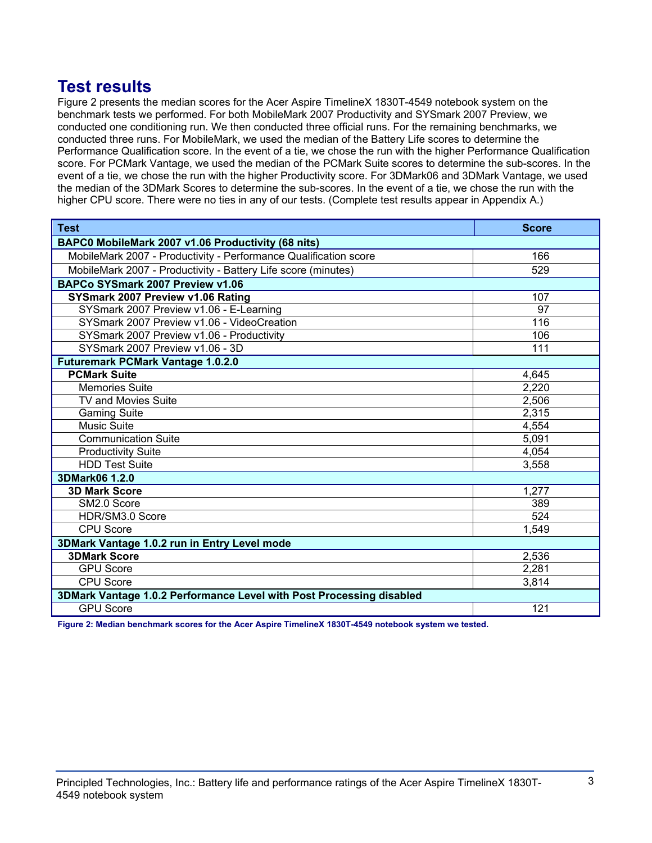## **Test results**

Figure 2 presents the median scores for the Acer Aspire TimelineX 1830T-4549 notebook system on the benchmark tests we performed. For both MobileMark 2007 Productivity and SYSmark 2007 Preview, we conducted one conditioning run. We then conducted three official runs. For the remaining benchmarks, we conducted three runs. For MobileMark, we used the median of the Battery Life scores to determine the Performance Qualification score. In the event of a tie, we chose the run with the higher Performance Qualification score. For PCMark Vantage, we used the median of the PCMark Suite scores to determine the sub-scores. In the event of a tie, we chose the run with the higher Productivity score. For 3DMark06 and 3DMark Vantage, we used the median of the 3DMark Scores to determine the sub-scores. In the event of a tie, we chose the run with the higher CPU score. There were no ties in any of our tests. (Complete test results appear in Appendix A.)

| <b>Test</b>                                                          | <b>Score</b> |
|----------------------------------------------------------------------|--------------|
| BAPC0 MobileMark 2007 v1.06 Productivity (68 nits)                   |              |
| MobileMark 2007 - Productivity - Performance Qualification score     | 166          |
| MobileMark 2007 - Productivity - Battery Life score (minutes)        | 529          |
| BAPCo SYSmark 2007 Preview v1.06                                     |              |
| SYSmark 2007 Preview v1.06 Rating                                    | 107          |
| SYSmark 2007 Preview v1.06 - E-Learning                              | 97           |
| SYSmark 2007 Preview v1.06 - VideoCreation                           | 116          |
| SYSmark 2007 Preview v1.06 - Productivity                            | 106          |
| SYSmark 2007 Preview v1.06 - 3D                                      | 111          |
| <b>Futuremark PCMark Vantage 1.0.2.0</b>                             |              |
| <b>PCMark Suite</b>                                                  | 4,645        |
| <b>Memories Suite</b>                                                | 2,220        |
| TV and Movies Suite                                                  | 2,506        |
| <b>Gaming Suite</b>                                                  | 2,315        |
| <b>Music Suite</b>                                                   | 4,554        |
| <b>Communication Suite</b>                                           | 5,091        |
| <b>Productivity Suite</b>                                            | 4,054        |
| <b>HDD Test Suite</b>                                                | 3,558        |
| 3DMark06 1.2.0                                                       |              |
| <b>3D Mark Score</b>                                                 | 1,277        |
| SM2.0 Score                                                          | 389          |
| HDR/SM3.0 Score                                                      | 524          |
| CPU Score                                                            | 1,549        |
| 3DMark Vantage 1.0.2 run in Entry Level mode                         |              |
| <b>3DMark Score</b>                                                  | 2,536        |
| <b>GPU Score</b>                                                     | 2,281        |
| <b>CPU Score</b>                                                     | 3,814        |
| 3DMark Vantage 1.0.2 Performance Level with Post Processing disabled |              |
| <b>GPU Score</b>                                                     | 121          |

**Figure 2: Median benchmark scores for the Acer Aspire TimelineX 1830T-4549 notebook system we tested.**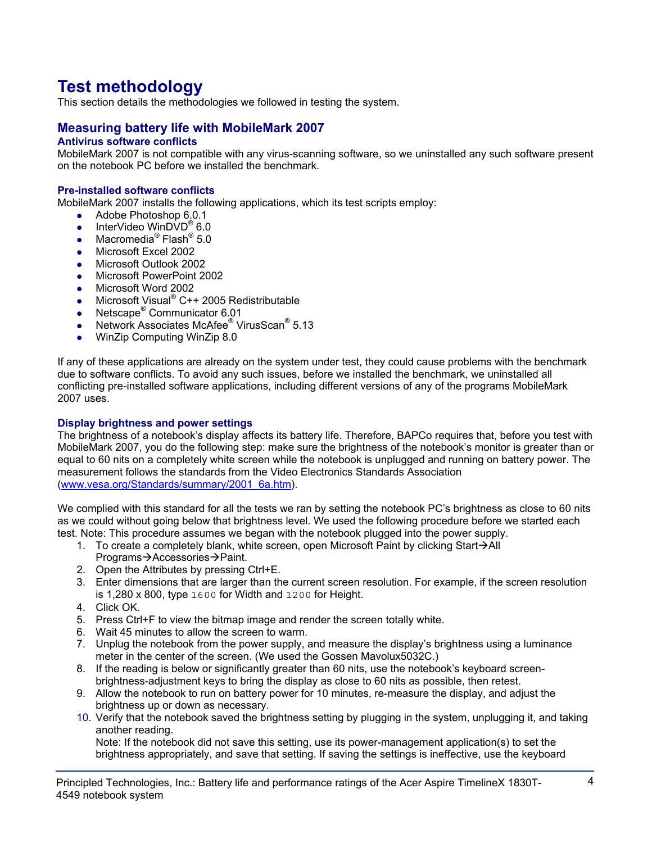# **Test methodology**

This section details the methodologies we followed in testing the system.

## **Measuring battery life with MobileMark 2007**

## **Antivirus software conflicts**

MobileMark 2007 is not compatible with any virus-scanning software, so we uninstalled any such software present on the notebook PC before we installed the benchmark.

#### **Pre-installed software conflicts**

MobileMark 2007 installs the following applications, which its test scripts employ:

- $\bullet$  Adobe Photoshop 6.0.1
- InterVideo WinDVD<sup>®</sup> 6.0
- Macromedia<sup>®</sup> Flash<sup>®</sup> 5.0
- Microsoft Excel 2002
- Microsoft Outlook 2002
- Microsoft PowerPoint 2002
- Microsoft Word 2002
- Microsoft Visual® C++ 2005 Redistributable
- Netscape<sup>®</sup> Communicator 6.01
- Network Associates McAfee<sup>®</sup> VirusScan<sup>®</sup> 5.13
- WinZip Computing WinZip 8.0

If any of these applications are already on the system under test, they could cause problems with the benchmark due to software conflicts. To avoid any such issues, before we installed the benchmark, we uninstalled all conflicting pre-installed software applications, including different versions of any of the programs MobileMark 2007 uses.

#### **Display brightness and power settings**

The brightness of a notebook's display affects its battery life. Therefore, BAPCo requires that, before you test with MobileMark 2007, you do the following step: make sure the brightness of the notebook's monitor is greater than or equal to 60 nits on a completely white screen while the notebook is unplugged and running on battery power. The measurement follows the standards from the Video Electronics Standards Association (www.vesa.org/Standards/summary/2001\_6a.htm).

We complied with this standard for all the tests we ran by setting the notebook PC's brightness as close to 60 nits as we could without going below that brightness level. We used the following procedure before we started each test. Note: This procedure assumes we began with the notebook plugged into the power supply.

- 1. To create a completely blank, white screen, open Microsoft Paint by clicking Start $\rightarrow$ All Programs→Accessories→Paint.
- 2. Open the Attributes by pressing Ctrl+E.
- 3. Enter dimensions that are larger than the current screen resolution. For example, if the screen resolution is 1,280 x 800, type 1600 for Width and 1200 for Height.
- 4. Click OK.
- 5. Press Ctrl+F to view the bitmap image and render the screen totally white.
- 6. Wait 45 minutes to allow the screen to warm.
- 7. Unplug the notebook from the power supply, and measure the display's brightness using a luminance meter in the center of the screen. (We used the Gossen Mavolux5032C.)
- 8. If the reading is below or significantly greater than 60 nits, use the notebook's keyboard screenbrightness-adjustment keys to bring the display as close to 60 nits as possible, then retest.
- 9. Allow the notebook to run on battery power for 10 minutes, re-measure the display, and adjust the brightness up or down as necessary.
- 10. Verify that the notebook saved the brightness setting by plugging in the system, unplugging it, and taking another reading.

Note: If the notebook did not save this setting, use its power-management application(s) to set the brightness appropriately, and save that setting. If saving the settings is ineffective, use the keyboard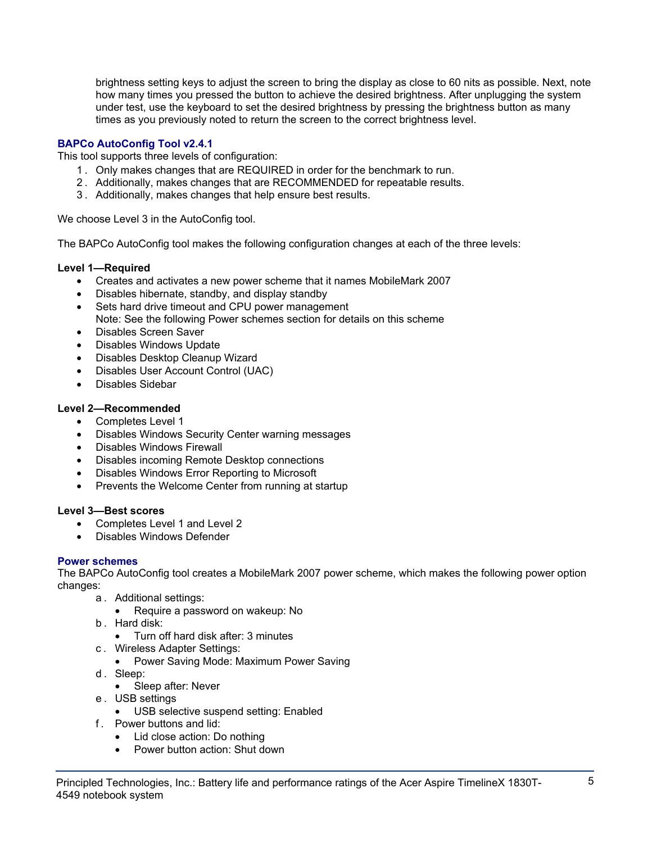brightness setting keys to adjust the screen to bring the display as close to 60 nits as possible. Next, note how many times you pressed the button to achieve the desired brightness. After unplugging the system under test, use the keyboard to set the desired brightness by pressing the brightness button as many times as you previously noted to return the screen to the correct brightness level.

## **BAPCo AutoConfig Tool v2.4.1**

This tool supports three levels of configuration:

- 1 . Only makes changes that are REQUIRED in order for the benchmark to run.
- 2 . Additionally, makes changes that are RECOMMENDED for repeatable results.
- 3 . Additionally, makes changes that help ensure best results.

We choose Level 3 in the AutoConfig tool.

The BAPCo AutoConfig tool makes the following configuration changes at each of the three levels:

## **Level 1—Required**

- Creates and activates a new power scheme that it names MobileMark 2007
- Disables hibernate, standby, and display standby
- Sets hard drive timeout and CPU power management Note: See the following Power schemes section for details on this scheme
- Disables Screen Saver
- Disables Windows Update
- Disables Desktop Cleanup Wizard
- Disables User Account Control (UAC)
- Disables Sidebar

## **Level 2—Recommended**

- Completes Level 1
- Disables Windows Security Center warning messages
- Disables Windows Firewall
- Disables incoming Remote Desktop connections
- Disables Windows Error Reporting to Microsoft
- Prevents the Welcome Center from running at startup

## **Level 3—Best scores**

- Completes Level 1 and Level 2
- Disables Windows Defender

## **Power schemes**

The BAPCo AutoConfig tool creates a MobileMark 2007 power scheme, which makes the following power option changes:

- a . Additional settings:
	- Require a password on wakeup: No
- b . Hard disk:
	- Turn off hard disk after: 3 minutes
- c . Wireless Adapter Settings:
	- Power Saving Mode: Maximum Power Saving
- d. Sleep:
	- Sleep after: Never
- e . USB settings
	- USB selective suspend setting: Enabled
- f . Power buttons and lid:
	- Lid close action: Do nothing
	- Power button action: Shut down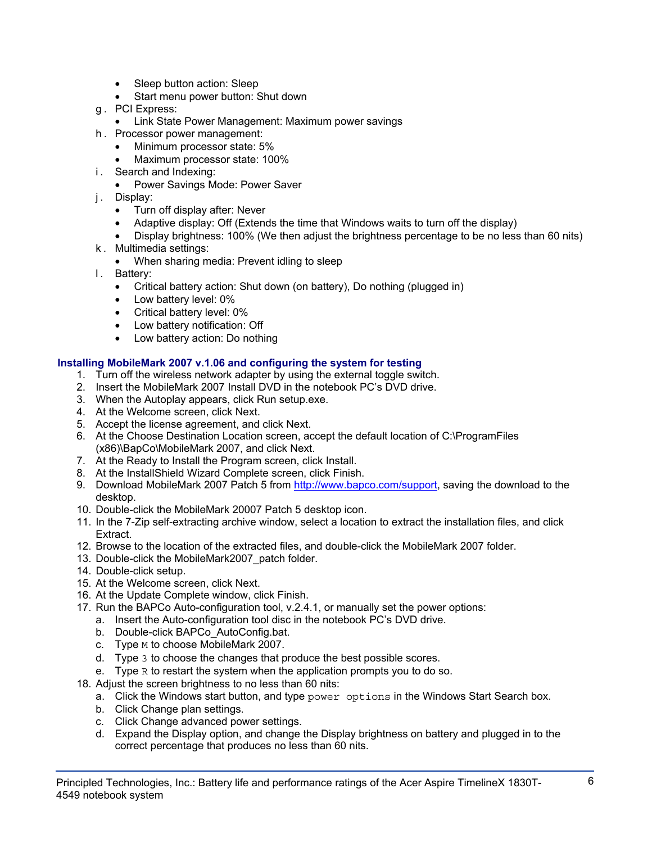- Sleep button action: Sleep
- Start menu power button: Shut down
- g . PCI Express:
	- Link State Power Management: Maximum power savings
- h . Processor power management:
	- Minimum processor state: 5%
	- Maximum processor state: 100%
- i. Search and Indexing:
	- Power Savings Mode: Power Saver
- j. Display:
	- Turn off display after: Never
	- Adaptive display: Off (Extends the time that Windows waits to turn off the display)
	- Display brightness: 100% (We then adjust the brightness percentage to be no less than 60 nits)
- k . Multimedia settings:
	- When sharing media: Prevent idling to sleep
- l. Battery:
	- Critical battery action: Shut down (on battery), Do nothing (plugged in)
	- Low battery level: 0%
	- Critical battery level: 0%
	- Low battery notification: Off
	- Low battery action: Do nothing

## **Installing MobileMark 2007 v.1.06 and configuring the system for testing**

- 1. Turn off the wireless network adapter by using the external toggle switch.
- 2. Insert the MobileMark 2007 Install DVD in the notebook PC's DVD drive.
- 3. When the Autoplay appears, click Run setup.exe.
- 4. At the Welcome screen, click Next.
- 5. Accept the license agreement, and click Next.
- 6. At the Choose Destination Location screen, accept the default location of C:\ProgramFiles (x86)\BapCo\MobileMark 2007, and click Next.
- 7. At the Ready to Install the Program screen, click Install.
- 8. At the InstallShield Wizard Complete screen, click Finish.
- 9. Download MobileMark 2007 Patch 5 from http://www.bapco.com/support, saving the download to the desktop.
- 10. Double-click the MobileMark 20007 Patch 5 desktop icon.
- 11. In the 7-Zip self-extracting archive window, select a location to extract the installation files, and click Extract.
- 12. Browse to the location of the extracted files, and double-click the MobileMark 2007 folder.
- 13. Double-click the MobileMark2007\_patch folder.
- 14. Double-click setup.
- 15. At the Welcome screen, click Next.
- 16. At the Update Complete window, click Finish.
- 17. Run the BAPCo Auto-configuration tool, v.2.4.1, or manually set the power options:
	- a. Insert the Auto-configuration tool disc in the notebook PC's DVD drive.
	- b. Double-click BAPCo\_AutoConfig.bat.
	- c. Type M to choose MobileMark 2007.
	- d. Type 3 to choose the changes that produce the best possible scores.
	- e. Type R to restart the system when the application prompts you to do so.
- 18. Adjust the screen brightness to no less than 60 nits:
	- a. Click the Windows start button, and type power options in the Windows Start Search box.
	- b. Click Change plan settings.
	- c. Click Change advanced power settings.
	- d. Expand the Display option, and change the Display brightness on battery and plugged in to the correct percentage that produces no less than 60 nits.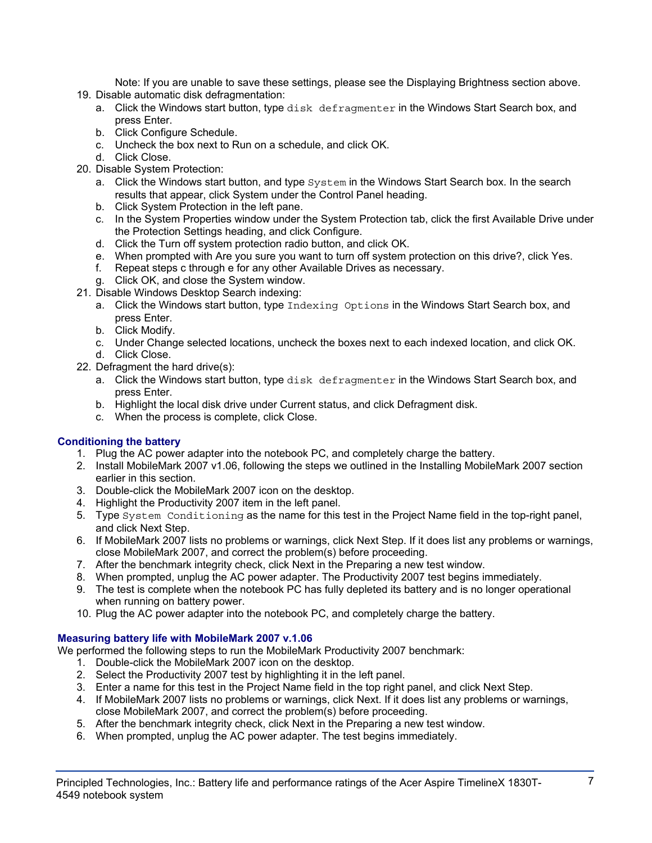Note: If you are unable to save these settings, please see the Displaying Brightness section above.

- 19. Disable automatic disk defragmentation:
	- a. Click the Windows start button, type disk defragmenter in the Windows Start Search box, and press Enter.
	- b. Click Configure Schedule.
	- c. Uncheck the box next to Run on a schedule, and click OK.
	- d. Click Close.
- 20. Disable System Protection:
	- a. Click the Windows start button, and type  $System$  in the Windows Start Search box. In the search results that appear, click System under the Control Panel heading.
	- b. Click System Protection in the left pane.
	- c. In the System Properties window under the System Protection tab, click the first Available Drive under the Protection Settings heading, and click Configure.
	- d. Click the Turn off system protection radio button, and click OK.
	- e. When prompted with Are you sure you want to turn off system protection on this drive?, click Yes.
	- f. Repeat steps c through e for any other Available Drives as necessary.
	- g. Click OK, and close the System window.
- 21. Disable Windows Desktop Search indexing:
	- a. Click the Windows start button, type Indexing Options in the Windows Start Search box, and press Enter.
	- b. Click Modify.
	- c. Under Change selected locations, uncheck the boxes next to each indexed location, and click OK. d. Click Close.
- 22. Defragment the hard drive(s):
	- a. Click the Windows start button, type disk defragmenter in the Windows Start Search box, and press Enter.
	- b. Highlight the local disk drive under Current status, and click Defragment disk.
	- c. When the process is complete, click Close.

## **Conditioning the battery**

- 1. Plug the AC power adapter into the notebook PC, and completely charge the battery.
- 2. Install MobileMark 2007 v1.06, following the steps we outlined in the Installing MobileMark 2007 section earlier in this section.
- 3. Double-click the MobileMark 2007 icon on the desktop.
- 4. Highlight the Productivity 2007 item in the left panel.
- 5. Type System Conditioning as the name for this test in the Project Name field in the top-right panel, and click Next Step.
- 6. If MobileMark 2007 lists no problems or warnings, click Next Step. If it does list any problems or warnings, close MobileMark 2007, and correct the problem(s) before proceeding.
- 7. After the benchmark integrity check, click Next in the Preparing a new test window.
- 8. When prompted, unplug the AC power adapter. The Productivity 2007 test begins immediately.
- 9. The test is complete when the notebook PC has fully depleted its battery and is no longer operational when running on battery power.
- 10. Plug the AC power adapter into the notebook PC, and completely charge the battery.

## **Measuring battery life with MobileMark 2007 v.1.06**

We performed the following steps to run the MobileMark Productivity 2007 benchmark:

- 1. Double-click the MobileMark 2007 icon on the desktop.
- 2. Select the Productivity 2007 test by highlighting it in the left panel.
- 3. Enter a name for this test in the Project Name field in the top right panel, and click Next Step.
- 4. If MobileMark 2007 lists no problems or warnings, click Next. If it does list any problems or warnings, close MobileMark 2007, and correct the problem(s) before proceeding.
- 5. After the benchmark integrity check, click Next in the Preparing a new test window.
- 6. When prompted, unplug the AC power adapter. The test begins immediately.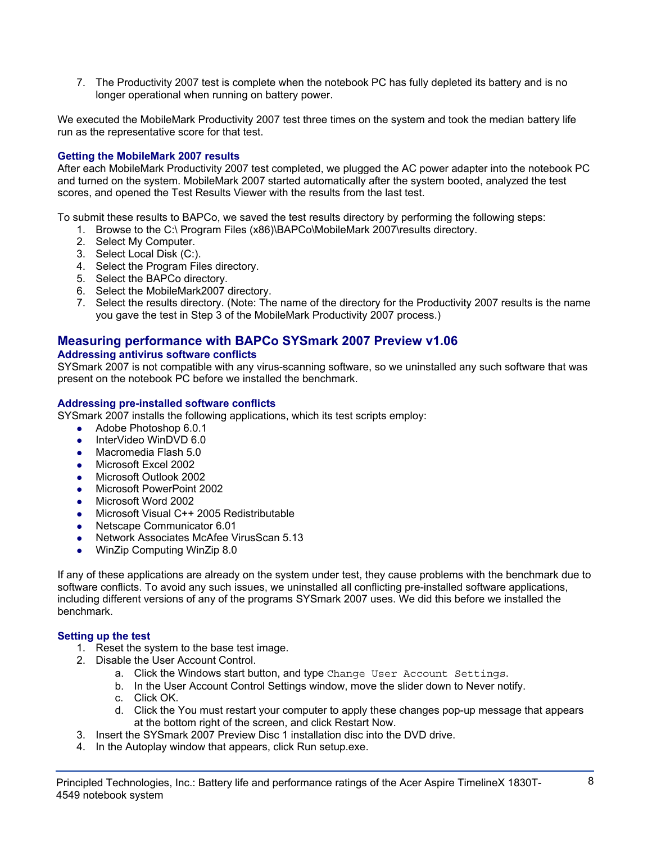7. The Productivity 2007 test is complete when the notebook PC has fully depleted its battery and is no longer operational when running on battery power.

We executed the MobileMark Productivity 2007 test three times on the system and took the median battery life run as the representative score for that test.

## **Getting the MobileMark 2007 results**

After each MobileMark Productivity 2007 test completed, we plugged the AC power adapter into the notebook PC and turned on the system. MobileMark 2007 started automatically after the system booted, analyzed the test scores, and opened the Test Results Viewer with the results from the last test.

To submit these results to BAPCo, we saved the test results directory by performing the following steps:

- 1. Browse to the C:\ Program Files (x86)\BAPCo\MobileMark 2007\results directory.
- 2. Select My Computer.
- 3. Select Local Disk (C:).
- 4. Select the Program Files directory.
- 5. Select the BAPCo directory.
- 6. Select the MobileMark2007 directory.
- 7. Select the results directory. (Note: The name of the directory for the Productivity 2007 results is the name you gave the test in Step 3 of the MobileMark Productivity 2007 process.)

## **Measuring performance with BAPCo SYSmark 2007 Preview v1.06**

## **Addressing antivirus software conflicts**

SYSmark 2007 is not compatible with any virus-scanning software, so we uninstalled any such software that was present on the notebook PC before we installed the benchmark.

#### **Addressing pre-installed software conflicts**

SYSmark 2007 installs the following applications, which its test scripts employ:

- $\bullet$  Adobe Photoshop 6.0.1
- InterVideo WinDVD 6.0
- Macromedia Flash 5.0
- Microsoft Excel 2002
- Microsoft Outlook 2002
- Microsoft PowerPoint 2002
- Microsoft Word 2002
- Microsoft Visual C++ 2005 Redistributable
- Netscape Communicator 6.01
- Network Associates McAfee VirusScan 5.13
- WinZip Computing WinZip 8.0

If any of these applications are already on the system under test, they cause problems with the benchmark due to software conflicts. To avoid any such issues, we uninstalled all conflicting pre-installed software applications, including different versions of any of the programs SYSmark 2007 uses. We did this before we installed the benchmark.

## **Setting up the test**

- 1. Reset the system to the base test image.
- 2. Disable the User Account Control.
	- a. Click the Windows start button, and type Change User Account Settings.
	- b. In the User Account Control Settings window, move the slider down to Never notify.
	- c. Click OK.
	- d. Click the You must restart your computer to apply these changes pop-up message that appears at the bottom right of the screen, and click Restart Now.
- 3. Insert the SYSmark 2007 Preview Disc 1 installation disc into the DVD drive.
- 4. In the Autoplay window that appears, click Run setup.exe.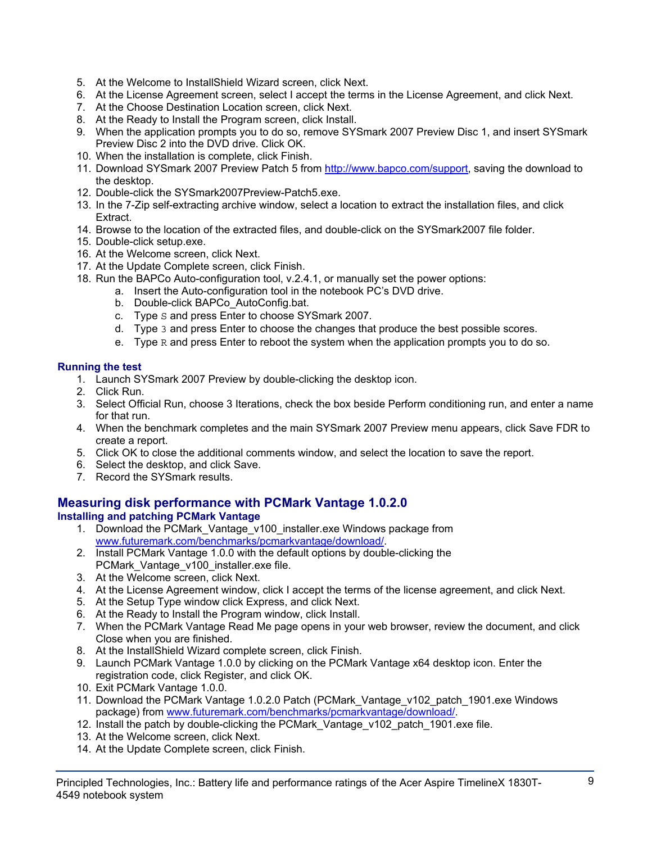- 5. At the Welcome to InstallShield Wizard screen, click Next.
- 6. At the License Agreement screen, select I accept the terms in the License Agreement, and click Next.
- 7. At the Choose Destination Location screen, click Next.
- 8. At the Ready to Install the Program screen, click Install.
- 9. When the application prompts you to do so, remove SYSmark 2007 Preview Disc 1, and insert SYSmark Preview Disc 2 into the DVD drive. Click OK.
- 10. When the installation is complete, click Finish.
- 11. Download SYSmark 2007 Preview Patch 5 from http://www.bapco.com/support, saving the download to the desktop.
- 12. Double-click the SYSmark2007Preview-Patch5.exe.
- 13. In the 7-Zip self-extracting archive window, select a location to extract the installation files, and click Extract.
- 14. Browse to the location of the extracted files, and double-click on the SYSmark2007 file folder.
- 15. Double-click setup.exe.
- 16. At the Welcome screen, click Next.
- 17. At the Update Complete screen, click Finish.
- 18. Run the BAPCo Auto-configuration tool, v.2.4.1, or manually set the power options:
	- a. Insert the Auto-configuration tool in the notebook PC's DVD drive.
		- b. Double-click BAPCo\_AutoConfig.bat.
		- c. Type S and press Enter to choose SYSmark 2007.
		- d. Type 3 and press Enter to choose the changes that produce the best possible scores.
		- e. Type R and press Enter to reboot the system when the application prompts you to do so.

## **Running the test**

- 1. Launch SYSmark 2007 Preview by double-clicking the desktop icon.
- 2. Click Run.
- 3. Select Official Run, choose 3 Iterations, check the box beside Perform conditioning run, and enter a name for that run.
- 4. When the benchmark completes and the main SYSmark 2007 Preview menu appears, click Save FDR to create a report.
- 5. Click OK to close the additional comments window, and select the location to save the report.
- 6. Select the desktop, and click Save.
- 7. Record the SYSmark results.

## **Measuring disk performance with PCMark Vantage 1.0.2.0**

## **Installing and patching PCMark Vantage**

- 1. Download the PCMark\_Vantage\_v100\_installer.exe Windows package from www.futuremark.com/benchmarks/pcmarkvantage/download/.
- 2. Install PCMark Vantage 1.0.0 with the default options by double-clicking the PCMark\_Vantage\_v100\_installer.exe file.
- 3. At the Welcome screen, click Next.
- 4. At the License Agreement window, click I accept the terms of the license agreement, and click Next.
- 5. At the Setup Type window click Express, and click Next.
- 6. At the Ready to Install the Program window, click Install.
- 7. When the PCMark Vantage Read Me page opens in your web browser, review the document, and click Close when you are finished.
- 8. At the InstallShield Wizard complete screen, click Finish.
- 9. Launch PCMark Vantage 1.0.0 by clicking on the PCMark Vantage x64 desktop icon. Enter the registration code, click Register, and click OK.
- 10. Exit PCMark Vantage 1.0.0.
- 11. Download the PCMark Vantage 1.0.2.0 Patch (PCMark\_Vantage\_v102\_patch\_1901.exe Windows package) from www.futuremark.com/benchmarks/pcmarkvantage/download/.
- 12. Install the patch by double-clicking the PCMark Vantage v102 patch 1901.exe file.
- 13. At the Welcome screen, click Next.
- 14. At the Update Complete screen, click Finish.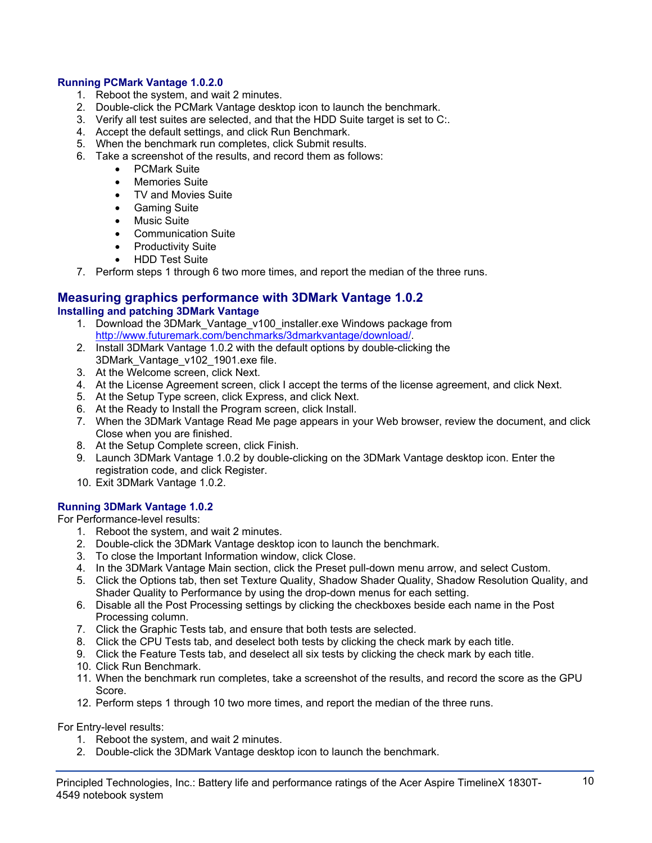## **Running PCMark Vantage 1.0.2.0**

- 1. Reboot the system, and wait 2 minutes.
- 2. Double-click the PCMark Vantage desktop icon to launch the benchmark.
- 3. Verify all test suites are selected, and that the HDD Suite target is set to C:.
- 4. Accept the default settings, and click Run Benchmark.
- 5. When the benchmark run completes, click Submit results.
- 6. Take a screenshot of the results, and record them as follows:
	- PCMark Suite
	- Memories Suite
	- TV and Movies Suite
	- Gaming Suite
	- Music Suite
	- Communication Suite
	- Productivity Suite
	- HDD Test Suite
- 7. Perform steps 1 through 6 two more times, and report the median of the three runs.

#### **Measuring graphics performance with 3DMark Vantage 1.0.2 Installing and patching 3DMark Vantage**

- 1. Download the 3DMark\_Vantage\_v100\_installer.exe Windows package from http://www.futuremark.com/benchmarks/3dmarkvantage/download/.
- 2. Install 3DMark Vantage 1.0.2 with the default options by double-clicking the 3DMark\_Vantage\_v102\_1901.exe file.
- 3. At the Welcome screen, click Next.
- 4. At the License Agreement screen, click I accept the terms of the license agreement, and click Next.
- 5. At the Setup Type screen, click Express, and click Next.
- 6. At the Ready to Install the Program screen, click Install.
- 7. When the 3DMark Vantage Read Me page appears in your Web browser, review the document, and click Close when you are finished.
- 8. At the Setup Complete screen, click Finish.
- 9. Launch 3DMark Vantage 1.0.2 by double-clicking on the 3DMark Vantage desktop icon. Enter the registration code, and click Register.
- 10. Exit 3DMark Vantage 1.0.2.

## **Running 3DMark Vantage 1.0.2**

For Performance-level results:

- 1. Reboot the system, and wait 2 minutes.
- 2. Double-click the 3DMark Vantage desktop icon to launch the benchmark.
- 3. To close the Important Information window, click Close.
- 4. In the 3DMark Vantage Main section, click the Preset pull-down menu arrow, and select Custom.
- 5. Click the Options tab, then set Texture Quality, Shadow Shader Quality, Shadow Resolution Quality, and Shader Quality to Performance by using the drop-down menus for each setting.
- 6. Disable all the Post Processing settings by clicking the checkboxes beside each name in the Post Processing column.
- 7. Click the Graphic Tests tab, and ensure that both tests are selected.
- 8. Click the CPU Tests tab, and deselect both tests by clicking the check mark by each title.
- 9. Click the Feature Tests tab, and deselect all six tests by clicking the check mark by each title.
- 10. Click Run Benchmark.
- 11. When the benchmark run completes, take a screenshot of the results, and record the score as the GPU Score.
- 12. Perform steps 1 through 10 two more times, and report the median of the three runs.

For Entry-level results:

- 1. Reboot the system, and wait 2 minutes.
- 2. Double-click the 3DMark Vantage desktop icon to launch the benchmark.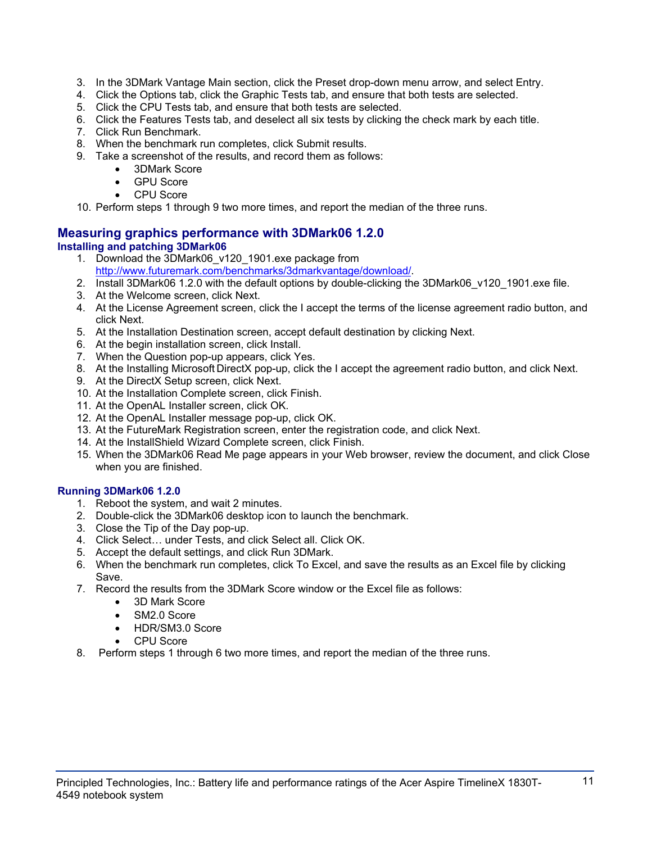- 3. In the 3DMark Vantage Main section, click the Preset drop-down menu arrow, and select Entry.
- 4. Click the Options tab, click the Graphic Tests tab, and ensure that both tests are selected.
- 5. Click the CPU Tests tab, and ensure that both tests are selected.
- 6. Click the Features Tests tab, and deselect all six tests by clicking the check mark by each title.
- 7. Click Run Benchmark.
- 8. When the benchmark run completes, click Submit results.
- 9. Take a screenshot of the results, and record them as follows:
	- 3DMark Score
	- **GPU Score**
	- CPU Score

10. Perform steps 1 through 9 two more times, and report the median of the three runs.

## **Measuring graphics performance with 3DMark06 1.2.0 Installing and patching 3DMark06**

- 1. Download the 3DMark06\_v120\_1901.exe package from http://www.futuremark.com/benchmarks/3dmarkvantage/download/.
- 2. Install 3DMark06 1.2.0 with the default options by double-clicking the 3DMark06 v120 1901.exe file.
- 3. At the Welcome screen, click Next.
- 4. At the License Agreement screen, click the I accept the terms of the license agreement radio button, and click Next.
- 5. At the Installation Destination screen, accept default destination by clicking Next.
- 6. At the begin installation screen, click Install.
- 7. When the Question pop-up appears, click Yes.
- 8. At the Installing Microsoft DirectX pop-up, click the I accept the agreement radio button, and click Next.
- 9. At the DirectX Setup screen, click Next.
- 10. At the Installation Complete screen, click Finish.
- 11. At the OpenAL Installer screen, click OK.
- 12. At the OpenAL Installer message pop-up, click OK.
- 13. At the FutureMark Registration screen, enter the registration code, and click Next.
- 14. At the InstallShield Wizard Complete screen, click Finish.
- 15. When the 3DMark06 Read Me page appears in your Web browser, review the document, and click Close when you are finished.

## **Running 3DMark06 1.2.0**

- 1. Reboot the system, and wait 2 minutes.
- 2. Double-click the 3DMark06 desktop icon to launch the benchmark.
- 3. Close the Tip of the Day pop-up.
- 4. Click Select… under Tests, and click Select all. Click OK.
- 5. Accept the default settings, and click Run 3DMark.
- 6. When the benchmark run completes, click To Excel, and save the results as an Excel file by clicking Save.
- 7. Record the results from the 3DMark Score window or the Excel file as follows:
	- 3D Mark Score
	- SM2.0 Score
	- HDR/SM3.0 Score
	- CPU Score
- 8. Perform steps 1 through 6 two more times, and report the median of the three runs.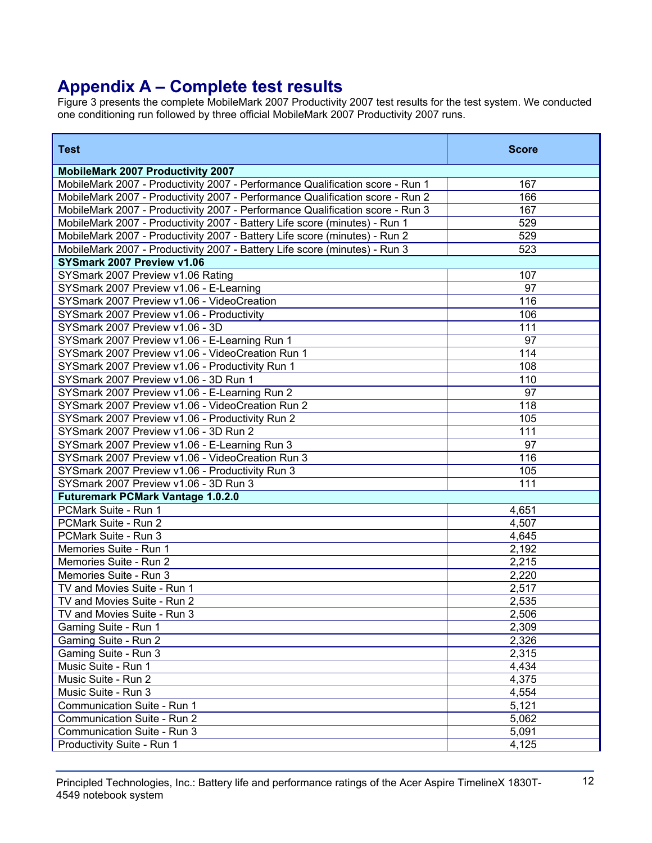# **Appendix A – Complete test results**

Figure 3 presents the complete MobileMark 2007 Productivity 2007 test results for the test system. We conducted one conditioning run followed by three official MobileMark 2007 Productivity 2007 runs.

| <b>Test</b>                                                                   | <b>Score</b> |
|-------------------------------------------------------------------------------|--------------|
| <b>MobileMark 2007 Productivity 2007</b>                                      |              |
| MobileMark 2007 - Productivity 2007 - Performance Qualification score - Run 1 | 167          |
| MobileMark 2007 - Productivity 2007 - Performance Qualification score - Run 2 | 166          |
| MobileMark 2007 - Productivity 2007 - Performance Qualification score - Run 3 | 167          |
| MobileMark 2007 - Productivity 2007 - Battery Life score (minutes) - Run 1    | 529          |
| MobileMark 2007 - Productivity 2007 - Battery Life score (minutes) - Run 2    | 529          |
| MobileMark 2007 - Productivity 2007 - Battery Life score (minutes) - Run 3    | 523          |
| SYSmark 2007 Preview v1.06                                                    |              |
| SYSmark 2007 Preview v1.06 Rating                                             | 107          |
| SYSmark 2007 Preview v1.06 - E-Learning                                       | 97           |
| SYSmark 2007 Preview v1.06 - VideoCreation                                    | 116          |
| SYSmark 2007 Preview v1.06 - Productivity                                     | 106          |
| SYSmark 2007 Preview v1.06 - 3D                                               | 111          |
| SYSmark 2007 Preview v1.06 - E-Learning Run 1                                 | 97           |
| SYSmark 2007 Preview v1.06 - VideoCreation Run 1                              | 114          |
| SYSmark 2007 Preview v1.06 - Productivity Run 1                               | 108          |
| SYSmark 2007 Preview v1.06 - 3D Run 1                                         | 110          |
| SYSmark 2007 Preview v1.06 - E-Learning Run 2                                 | 97           |
| SYSmark 2007 Preview v1.06 - VideoCreation Run 2                              | 118          |
| SYSmark 2007 Preview v1.06 - Productivity Run 2                               | 105          |
| SYSmark 2007 Preview v1.06 - 3D Run 2                                         | 111          |
| SYSmark 2007 Preview v1.06 - E-Learning Run 3                                 | 97           |
| SYSmark 2007 Preview v1.06 - VideoCreation Run 3                              | 116          |
| SYSmark 2007 Preview v1.06 - Productivity Run 3                               | 105          |
| SYSmark 2007 Preview v1.06 - 3D Run 3                                         | 111          |
| <b>Futuremark PCMark Vantage 1.0.2.0</b>                                      |              |
| PCMark Suite - Run 1                                                          | 4,651        |
| PCMark Suite - Run 2                                                          | 4,507        |
| PCMark Suite - Run 3                                                          | 4,645        |
| Memories Suite - Run 1                                                        | 2,192        |
| Memories Suite - Run 2                                                        | 2,215        |
| Memories Suite - Run 3                                                        | 2,220        |
| TV and Movies Suite - Run 1                                                   | 2,517        |
| TV and Movies Suite - Run 2                                                   | 2,535        |
| TV and Movies Suite - Run 3                                                   | 2,506        |
| Gaming Suite - Run 1                                                          | 2,309        |
| Gaming Suite - Run 2                                                          | 2,326        |
| Gaming Suite - Run 3                                                          | 2,315        |
| Music Suite - Run 1                                                           | 4,434        |
| Music Suite - Run 2                                                           | 4,375        |
| Music Suite - Run 3                                                           | 4,554        |
| Communication Suite - Run 1                                                   | 5,121        |
| Communication Suite - Run 2                                                   | 5,062        |
| Communication Suite - Run 3                                                   | 5,091        |
| Productivity Suite - Run 1                                                    | 4,125        |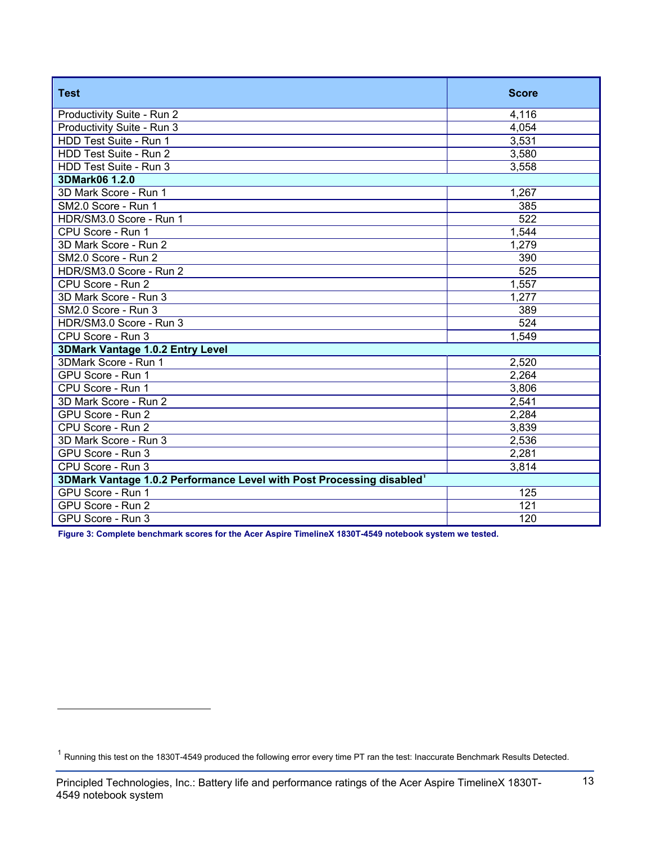| <b>Test</b>                                                                       | <b>Score</b>     |
|-----------------------------------------------------------------------------------|------------------|
| Productivity Suite - Run 2                                                        | 4,116            |
| Productivity Suite - Run 3                                                        | 4,054            |
| HDD Test Suite - Run 1                                                            | 3,531            |
| HDD Test Suite - Run 2                                                            | 3,580            |
| HDD Test Suite - Run 3                                                            | 3,558            |
| 3DMark06 1.2.0                                                                    |                  |
| 3D Mark Score - Run 1                                                             | 1,267            |
| SM2.0 Score - Run 1                                                               | 385              |
| HDR/SM3.0 Score - Run 1                                                           | 522              |
| CPU Score - Run 1                                                                 | 1,544            |
| 3D Mark Score - Run 2                                                             | 1,279            |
| SM2.0 Score - Run 2                                                               | 390              |
| HDR/SM3.0 Score - Run 2                                                           | 525              |
| CPU Score - Run 2                                                                 | 1,557            |
| 3D Mark Score - Run 3                                                             | 1,277            |
| SM2.0 Score - Run 3                                                               | 389              |
| HDR/SM3.0 Score - Run 3                                                           | $\overline{524}$ |
| CPU Score - Run 3                                                                 | 1,549            |
| 3DMark Vantage 1.0.2 Entry Level                                                  |                  |
| 3DMark Score - Run 1                                                              | 2,520            |
| GPU Score - Run 1                                                                 | 2,264            |
| CPU Score - Run 1                                                                 | 3,806            |
| 3D Mark Score - Run 2                                                             | 2,541            |
| GPU Score - Run 2                                                                 | 2,284            |
| CPU Score - Run 2                                                                 | 3,839            |
| 3D Mark Score - Run 3                                                             | 2,536            |
| GPU Score - Run 3                                                                 | 2,281            |
| CPU Score - Run 3                                                                 | 3,814            |
| 3DMark Vantage 1.0.2 Performance Level with Post Processing disabled <sup>1</sup> |                  |
| GPU Score - Run 1                                                                 | 125              |
| GPU Score - Run 2                                                                 | 121              |
| GPU Score - Run 3                                                                 | 120              |

**Figure 3: Complete benchmark scores for the Acer Aspire TimelineX 1830T-4549 notebook system we tested.** 

l

<sup>1</sup> Running this test on the 1830T-4549 produced the following error every time PT ran the test: Inaccurate Benchmark Results Detected.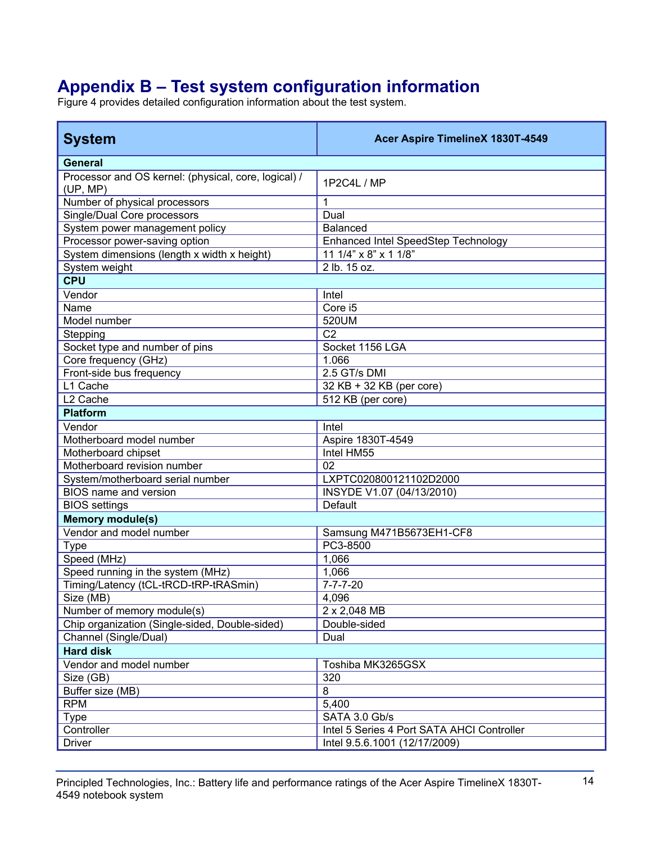# **Appendix B – Test system configuration information**

Figure 4 provides detailed configuration information about the test system.

| <b>System</b>                                                    | Acer Aspire TimelineX 1830T-4549           |
|------------------------------------------------------------------|--------------------------------------------|
| <b>General</b>                                                   |                                            |
| Processor and OS kernel: (physical, core, logical) /<br>(UP, MP) | 1P2C4L / MP                                |
| Number of physical processors                                    | 1                                          |
| Single/Dual Core processors                                      | Dual                                       |
| System power management policy                                   | <b>Balanced</b>                            |
| Processor power-saving option                                    | Enhanced Intel SpeedStep Technology        |
| System dimensions (length x width x height)                      | 11 1/4" $\times$ 8" $\times$ 1 1/8"        |
| System weight                                                    | 2 lb. 15 oz.                               |
| <b>CPU</b>                                                       |                                            |
| Vendor                                                           | Intel                                      |
| Name                                                             | Core i5                                    |
| Model number                                                     | 520UM                                      |
| Stepping                                                         | $\overline{C2}$                            |
| Socket type and number of pins                                   | Socket 1156 LGA                            |
| Core frequency (GHz)                                             | 1.066                                      |
| Front-side bus frequency                                         | 2.5 GT/s DMI                               |
| L1 Cache                                                         | 32 KB + 32 KB (per core)                   |
| L <sub>2</sub> Cache                                             | 512 KB (per core)                          |
| <b>Platform</b>                                                  |                                            |
| Vendor                                                           | Intel                                      |
| Motherboard model number                                         | Aspire 1830T-4549                          |
| Motherboard chipset                                              | Intel HM55                                 |
| Motherboard revision number                                      | 02                                         |
| System/motherboard serial number                                 | LXPTC020800121102D2000                     |
| BIOS name and version                                            | INSYDE V1.07 (04/13/2010)                  |
| <b>BIOS</b> settings                                             | Default                                    |
| <b>Memory module(s)</b>                                          |                                            |
| Vendor and model number                                          | Samsung M471B5673EH1-CF8                   |
| <b>Type</b>                                                      | PC3-8500                                   |
| Speed (MHz)                                                      | 1,066                                      |
| Speed running in the system (MHz)                                | 1,066                                      |
| Timing/Latency (tCL-tRCD-tRP-tRASmin)                            | $7 - 7 - 7 - 20$                           |
| Size (MB)                                                        | 4,096                                      |
| Number of memory module(s)                                       | 2 x 2,048 MB                               |
| Chip organization (Single-sided, Double-sided)                   | Double-sided                               |
| Channel (Single/Dual)                                            | Dual                                       |
| <b>Hard disk</b>                                                 |                                            |
| Vendor and model number                                          | Toshiba MK3265GSX                          |
| Size (GB)                                                        | 320                                        |
| Buffer size (MB)                                                 | 8                                          |
| <b>RPM</b>                                                       | 5,400                                      |
| <b>Type</b>                                                      | SATA 3.0 Gb/s                              |
| Controller                                                       | Intel 5 Series 4 Port SATA AHCI Controller |
| <b>Driver</b>                                                    | Intel 9.5.6.1001 (12/17/2009)              |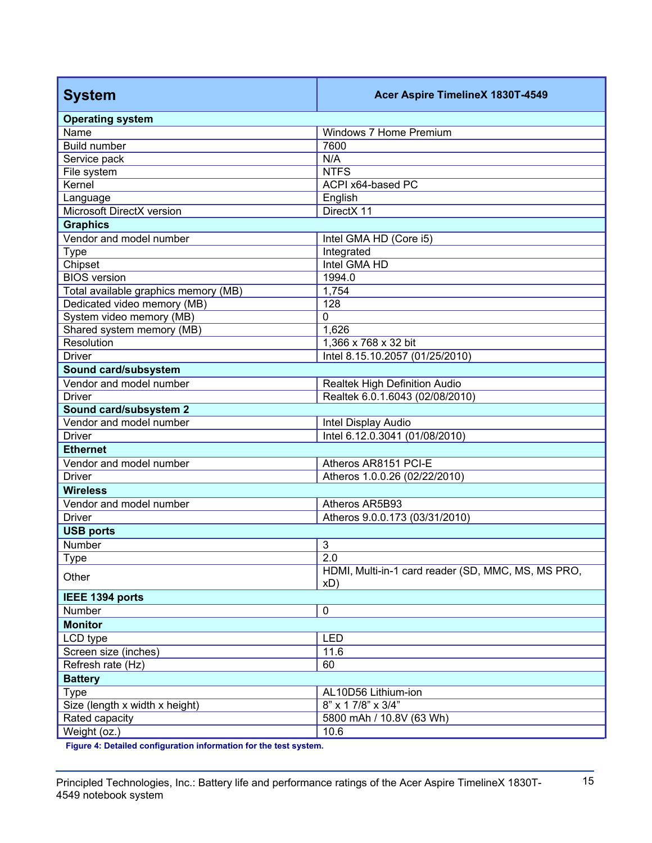| <b>Operating system</b><br>Name<br>Windows 7 Home Premium<br><b>Build number</b><br>7600<br>N/A<br>Service pack<br><b>NTFS</b><br>File system<br>ACPI x64-based PC<br>Kernel<br>English<br>Language<br>Microsoft DirectX version<br>DirectX 11<br><b>Graphics</b><br>Vendor and model number<br>Intel GMA HD (Core i5)<br>Integrated<br><b>Type</b><br>Intel GMA HD<br>Chipset<br><b>BIOS</b> version<br>1994.0<br>Total available graphics memory (MB)<br>1,754<br>Dedicated video memory (MB)<br>128<br>System video memory (MB)<br>$\mathbf 0$<br>Shared system memory (MB)<br>1,626<br>Resolution<br>1,366 x 768 x 32 bit<br><b>Driver</b><br>Intel 8.15.10.2057 (01/25/2010)<br>Sound card/subsystem<br>Vendor and model number<br><b>Realtek High Definition Audio</b><br><b>Driver</b><br>Realtek 6.0.1.6043 (02/08/2010)<br>Sound card/subsystem 2<br>Vendor and model number<br>Intel Display Audio<br>Intel 6.12.0.3041 (01/08/2010)<br><b>Driver</b><br><b>Ethernet</b><br>Vendor and model number<br>Atheros AR8151 PCI-E<br><b>Driver</b><br>Atheros 1.0.0.26 (02/22/2010)<br><b>Wireless</b><br>Vendor and model number<br>Atheros AR5B93<br>Atheros 9.0.0.173 (03/31/2010)<br><b>Driver</b><br><b>USB ports</b> |
|--------------------------------------------------------------------------------------------------------------------------------------------------------------------------------------------------------------------------------------------------------------------------------------------------------------------------------------------------------------------------------------------------------------------------------------------------------------------------------------------------------------------------------------------------------------------------------------------------------------------------------------------------------------------------------------------------------------------------------------------------------------------------------------------------------------------------------------------------------------------------------------------------------------------------------------------------------------------------------------------------------------------------------------------------------------------------------------------------------------------------------------------------------------------------------------------------------------------------------|
|                                                                                                                                                                                                                                                                                                                                                                                                                                                                                                                                                                                                                                                                                                                                                                                                                                                                                                                                                                                                                                                                                                                                                                                                                                |
|                                                                                                                                                                                                                                                                                                                                                                                                                                                                                                                                                                                                                                                                                                                                                                                                                                                                                                                                                                                                                                                                                                                                                                                                                                |
|                                                                                                                                                                                                                                                                                                                                                                                                                                                                                                                                                                                                                                                                                                                                                                                                                                                                                                                                                                                                                                                                                                                                                                                                                                |
|                                                                                                                                                                                                                                                                                                                                                                                                                                                                                                                                                                                                                                                                                                                                                                                                                                                                                                                                                                                                                                                                                                                                                                                                                                |
|                                                                                                                                                                                                                                                                                                                                                                                                                                                                                                                                                                                                                                                                                                                                                                                                                                                                                                                                                                                                                                                                                                                                                                                                                                |
|                                                                                                                                                                                                                                                                                                                                                                                                                                                                                                                                                                                                                                                                                                                                                                                                                                                                                                                                                                                                                                                                                                                                                                                                                                |
|                                                                                                                                                                                                                                                                                                                                                                                                                                                                                                                                                                                                                                                                                                                                                                                                                                                                                                                                                                                                                                                                                                                                                                                                                                |
|                                                                                                                                                                                                                                                                                                                                                                                                                                                                                                                                                                                                                                                                                                                                                                                                                                                                                                                                                                                                                                                                                                                                                                                                                                |
|                                                                                                                                                                                                                                                                                                                                                                                                                                                                                                                                                                                                                                                                                                                                                                                                                                                                                                                                                                                                                                                                                                                                                                                                                                |
|                                                                                                                                                                                                                                                                                                                                                                                                                                                                                                                                                                                                                                                                                                                                                                                                                                                                                                                                                                                                                                                                                                                                                                                                                                |
|                                                                                                                                                                                                                                                                                                                                                                                                                                                                                                                                                                                                                                                                                                                                                                                                                                                                                                                                                                                                                                                                                                                                                                                                                                |
|                                                                                                                                                                                                                                                                                                                                                                                                                                                                                                                                                                                                                                                                                                                                                                                                                                                                                                                                                                                                                                                                                                                                                                                                                                |
|                                                                                                                                                                                                                                                                                                                                                                                                                                                                                                                                                                                                                                                                                                                                                                                                                                                                                                                                                                                                                                                                                                                                                                                                                                |
|                                                                                                                                                                                                                                                                                                                                                                                                                                                                                                                                                                                                                                                                                                                                                                                                                                                                                                                                                                                                                                                                                                                                                                                                                                |
|                                                                                                                                                                                                                                                                                                                                                                                                                                                                                                                                                                                                                                                                                                                                                                                                                                                                                                                                                                                                                                                                                                                                                                                                                                |
|                                                                                                                                                                                                                                                                                                                                                                                                                                                                                                                                                                                                                                                                                                                                                                                                                                                                                                                                                                                                                                                                                                                                                                                                                                |
|                                                                                                                                                                                                                                                                                                                                                                                                                                                                                                                                                                                                                                                                                                                                                                                                                                                                                                                                                                                                                                                                                                                                                                                                                                |
|                                                                                                                                                                                                                                                                                                                                                                                                                                                                                                                                                                                                                                                                                                                                                                                                                                                                                                                                                                                                                                                                                                                                                                                                                                |
|                                                                                                                                                                                                                                                                                                                                                                                                                                                                                                                                                                                                                                                                                                                                                                                                                                                                                                                                                                                                                                                                                                                                                                                                                                |
|                                                                                                                                                                                                                                                                                                                                                                                                                                                                                                                                                                                                                                                                                                                                                                                                                                                                                                                                                                                                                                                                                                                                                                                                                                |
|                                                                                                                                                                                                                                                                                                                                                                                                                                                                                                                                                                                                                                                                                                                                                                                                                                                                                                                                                                                                                                                                                                                                                                                                                                |
|                                                                                                                                                                                                                                                                                                                                                                                                                                                                                                                                                                                                                                                                                                                                                                                                                                                                                                                                                                                                                                                                                                                                                                                                                                |
|                                                                                                                                                                                                                                                                                                                                                                                                                                                                                                                                                                                                                                                                                                                                                                                                                                                                                                                                                                                                                                                                                                                                                                                                                                |
|                                                                                                                                                                                                                                                                                                                                                                                                                                                                                                                                                                                                                                                                                                                                                                                                                                                                                                                                                                                                                                                                                                                                                                                                                                |
|                                                                                                                                                                                                                                                                                                                                                                                                                                                                                                                                                                                                                                                                                                                                                                                                                                                                                                                                                                                                                                                                                                                                                                                                                                |
|                                                                                                                                                                                                                                                                                                                                                                                                                                                                                                                                                                                                                                                                                                                                                                                                                                                                                                                                                                                                                                                                                                                                                                                                                                |
|                                                                                                                                                                                                                                                                                                                                                                                                                                                                                                                                                                                                                                                                                                                                                                                                                                                                                                                                                                                                                                                                                                                                                                                                                                |
|                                                                                                                                                                                                                                                                                                                                                                                                                                                                                                                                                                                                                                                                                                                                                                                                                                                                                                                                                                                                                                                                                                                                                                                                                                |
|                                                                                                                                                                                                                                                                                                                                                                                                                                                                                                                                                                                                                                                                                                                                                                                                                                                                                                                                                                                                                                                                                                                                                                                                                                |
|                                                                                                                                                                                                                                                                                                                                                                                                                                                                                                                                                                                                                                                                                                                                                                                                                                                                                                                                                                                                                                                                                                                                                                                                                                |
|                                                                                                                                                                                                                                                                                                                                                                                                                                                                                                                                                                                                                                                                                                                                                                                                                                                                                                                                                                                                                                                                                                                                                                                                                                |
|                                                                                                                                                                                                                                                                                                                                                                                                                                                                                                                                                                                                                                                                                                                                                                                                                                                                                                                                                                                                                                                                                                                                                                                                                                |
| Number<br>3                                                                                                                                                                                                                                                                                                                                                                                                                                                                                                                                                                                                                                                                                                                                                                                                                                                                                                                                                                                                                                                                                                                                                                                                                    |
| $\overline{2.0}$<br><u>Type</u>                                                                                                                                                                                                                                                                                                                                                                                                                                                                                                                                                                                                                                                                                                                                                                                                                                                                                                                                                                                                                                                                                                                                                                                                |
| HDMI, Multi-in-1 card reader (SD, MMC, MS, MS PRO,<br>Other<br>xD)                                                                                                                                                                                                                                                                                                                                                                                                                                                                                                                                                                                                                                                                                                                                                                                                                                                                                                                                                                                                                                                                                                                                                             |
| IEEE 1394 ports                                                                                                                                                                                                                                                                                                                                                                                                                                                                                                                                                                                                                                                                                                                                                                                                                                                                                                                                                                                                                                                                                                                                                                                                                |
| $\pmb{0}$<br>Number                                                                                                                                                                                                                                                                                                                                                                                                                                                                                                                                                                                                                                                                                                                                                                                                                                                                                                                                                                                                                                                                                                                                                                                                            |
| <b>Monitor</b>                                                                                                                                                                                                                                                                                                                                                                                                                                                                                                                                                                                                                                                                                                                                                                                                                                                                                                                                                                                                                                                                                                                                                                                                                 |
| LED<br>LCD type                                                                                                                                                                                                                                                                                                                                                                                                                                                                                                                                                                                                                                                                                                                                                                                                                                                                                                                                                                                                                                                                                                                                                                                                                |
| Screen size (inches)<br>11.6                                                                                                                                                                                                                                                                                                                                                                                                                                                                                                                                                                                                                                                                                                                                                                                                                                                                                                                                                                                                                                                                                                                                                                                                   |
| Refresh rate (Hz)<br>60                                                                                                                                                                                                                                                                                                                                                                                                                                                                                                                                                                                                                                                                                                                                                                                                                                                                                                                                                                                                                                                                                                                                                                                                        |
| <b>Battery</b>                                                                                                                                                                                                                                                                                                                                                                                                                                                                                                                                                                                                                                                                                                                                                                                                                                                                                                                                                                                                                                                                                                                                                                                                                 |
| <b>Type</b><br>AL10D56 Lithium-ion                                                                                                                                                                                                                                                                                                                                                                                                                                                                                                                                                                                                                                                                                                                                                                                                                                                                                                                                                                                                                                                                                                                                                                                             |
| Size (length x width x height)<br>8" x 1 7/8" x 3/4"                                                                                                                                                                                                                                                                                                                                                                                                                                                                                                                                                                                                                                                                                                                                                                                                                                                                                                                                                                                                                                                                                                                                                                           |
| Rated capacity<br>5800 mAh / 10.8V (63 Wh)                                                                                                                                                                                                                                                                                                                                                                                                                                                                                                                                                                                                                                                                                                                                                                                                                                                                                                                                                                                                                                                                                                                                                                                     |
| 10.6<br>Weight (oz.)                                                                                                                                                                                                                                                                                                                                                                                                                                                                                                                                                                                                                                                                                                                                                                                                                                                                                                                                                                                                                                                                                                                                                                                                           |

**Figure 4: Detailed configuration information for the test system.**